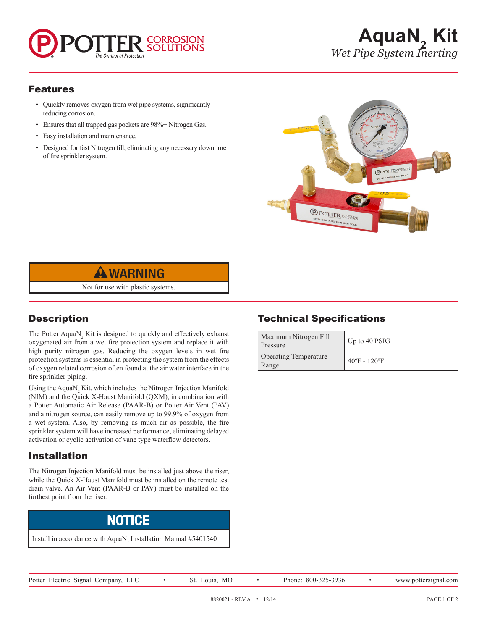#### Features

- Quickly removes oxygen from wet pipe systems, significantly reducing corrosion.
- Ensures that all trapped gas pockets are 98%+ Nitrogen Gas.
- Easy installation and maintenance.
- Designed for fast Nitrogen fill, eliminating any necessary downtime of fire sprinkler system.





Not for use with plastic systems.

# **Description**

The Potter  $AquaN<sub>2</sub>$  Kit is designed to quickly and effectively exhaust oxygenated air from a wet fire protection system and replace it with high purity nitrogen gas. Reducing the oxygen levels in wet fire protection systems is essential in protecting the system from the effects of oxygen related corrosion often found at the air water interface in the fire sprinkler piping.

Using the  $AqualN_2$  Kit, which includes the Nitrogen Injection Manifold (NIM) and the Quick X-Haust Manifold (QXM), in combination with a Potter Automatic Air Release (PAAR-B) or Potter Air Vent (PAV) and a nitrogen source, can easily remove up to 99.9% of oxygen from a wet system. Also, by removing as much air as possible, the fire sprinkler system will have increased performance, eliminating delayed activation or cyclic activation of vane type waterflow detectors.

### Installation

The Nitrogen Injection Manifold must be installed just above the riser, while the Quick X-Haust Manifold must be installed on the remote test drain valve. An Air Vent (PAAR-B or PAV) must be installed on the furthest point from the riser.



Install in accordance with  $AquaN<sub>2</sub>$  Installation Manual #5401540

# Technical Specifications

| Maximum Nitrogen Fill<br>Pressure     | Up to 40 PSIG                     |
|---------------------------------------|-----------------------------------|
| <b>Operating Temperature</b><br>Range | $40^{\circ}$ F - 120 $^{\circ}$ F |

Potter Electric Signal Company, LLC • St. Louis, MO • Phone: 800-325-3936 • www.pottersignal.com